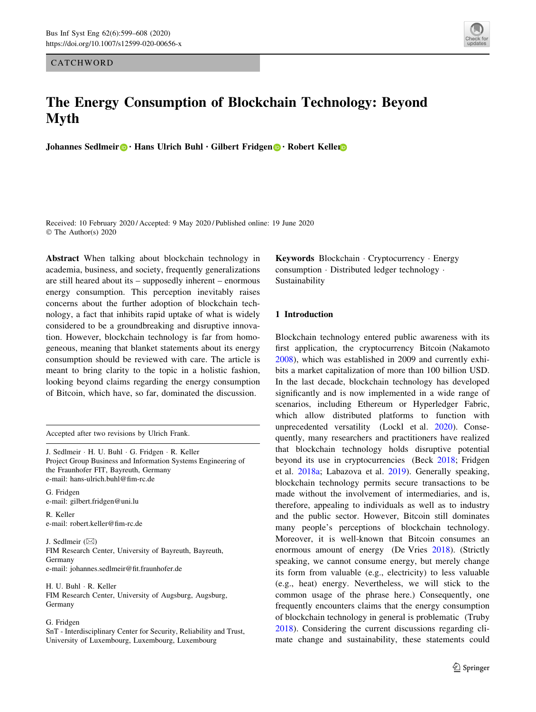**CATCHWORD** 



# The Energy Consumption of Blockchain Technology: Beyond Myth

Johannes Sedlmeir <sup>1</sup> · Hans Ulrich Buhl · Gilbert Fridgen <sup>1</sup> · Robert Keller

Received: 10 February 2020 / Accepted: 9 May 2020 / Published online: 19 June 2020 © The Author(s) 2020

Abstract When talking about blockchain technology in academia, business, and society, frequently generalizations are still heared about its – supposedly inherent – enormous energy consumption. This perception inevitably raises concerns about the further adoption of blockchain technology, a fact that inhibits rapid uptake of what is widely considered to be a groundbreaking and disruptive innovation. However, blockchain technology is far from homogeneous, meaning that blanket statements about its energy consumption should be reviewed with care. The article is meant to bring clarity to the topic in a holistic fashion, looking beyond claims regarding the energy consumption of Bitcoin, which have, so far, dominated the discussion.

Accepted after two revisions by Ulrich Frank.

J. Sedlmeir - H. U. Buhl - G. Fridgen - R. Keller Project Group Business and Information Systems Engineering of the Fraunhofer FIT, Bayreuth, Germany e-mail: hans-ulrich.buhl@fim-rc.de

G. Fridgen e-mail: gilbert.fridgen@uni.lu

R. Keller e-mail: robert.keller@fim-rc.de

J. Sedlmeir  $(\boxtimes)$ FIM Research Center, University of Bayreuth, Bayreuth, Germany e-mail: johannes.sedlmeir@fit.fraunhofer.de

H. U. Buhl - R. Keller FIM Research Center, University of Augsburg, Augsburg, Germany

## G. Fridgen

SnT - Interdisciplinary Center for Security, Reliability and Trust, University of Luxembourg, Luxembourg, Luxembourg

Keywords Blockchain - Cryptocurrency - Energy consumption - Distributed ledger technology - Sustainability

## 1 Introduction

Blockchain technology entered public awareness with its first application, the cryptocurrency Bitcoin (Nakamoto [2008](#page-9-0)), which was established in 2009 and currently exhibits a market capitalization of more than 100 billion USD. In the last decade, blockchain technology has developed significantly and is now implemented in a wide range of scenarios, including Ethereum or Hyperledger Fabric, which allow distributed platforms to function with unprecedented versatility (Lockl et al. [2020](#page-9-0)). Consequently, many researchers and practitioners have realized that blockchain technology holds disruptive potential beyond its use in cryptocurrencies (Beck [2018](#page-8-0); Fridgen et al. [2018a;](#page-8-0) Labazova et al. [2019\)](#page-9-0). Generally speaking, blockchain technology permits secure transactions to be made without the involvement of intermediaries, and is, therefore, appealing to individuals as well as to industry and the public sector. However, Bitcoin still dominates many people's perceptions of blockchain technology. Moreover, it is well-known that Bitcoin consumes an enormous amount of energy (De Vries [2018](#page-8-0)). (Strictly speaking, we cannot consume energy, but merely change its form from valuable (e.g., electricity) to less valuable (e.g., heat) energy. Nevertheless, we will stick to the common usage of the phrase here.) Consequently, one frequently encounters claims that the energy consumption of blockchain technology in general is problematic (Truby [2018](#page-9-0)). Considering the current discussions regarding climate change and sustainability, these statements could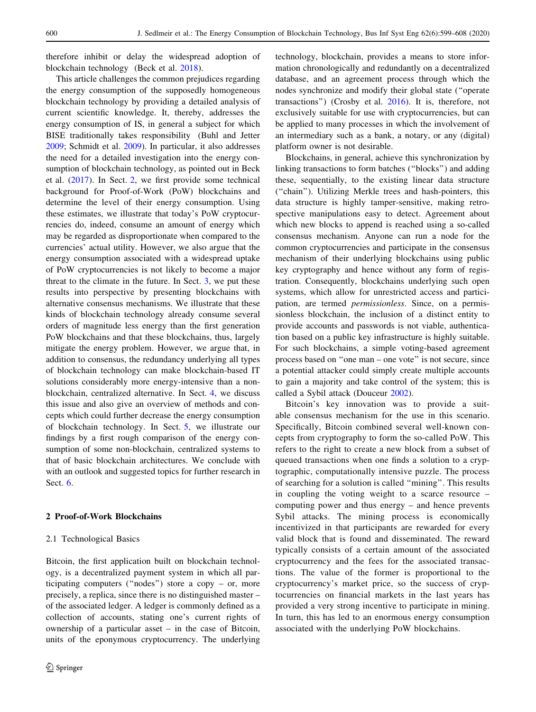<span id="page-1-0"></span>therefore inhibit or delay the widespread adoption of blockchain technology (Beck et al. [2018](#page-8-0)).

This article challenges the common prejudices regarding the energy consumption of the supposedly homogeneous blockchain technology by providing a detailed analysis of current scientific knowledge. It, thereby, addresses the energy consumption of IS, in general a subject for which BISE traditionally takes responsibility (Buhl and Jetter [2009;](#page-8-0) Schmidt et al. [2009](#page-9-0)). In particular, it also addresses the need for a detailed investigation into the energy consumption of blockchain technology, as pointed out in Beck et al. [\(2017\)](#page-8-0). In Sect. 2, we first provide some technical background for Proof-of-Work (PoW) blockchains and determine the level of their energy consumption. Using these estimates, we illustrate that today's PoW cryptocurrencies do, indeed, consume an amount of energy which may be regarded as disproportionate when compared to the currencies' actual utility. However, we also argue that the energy consumption associated with a widespread uptake of PoW cryptocurrencies is not likely to become a major threat to the climate in the future. In Sect. [3](#page-4-0), we put these results into perspective by presenting blockchains with alternative consensus mechanisms. We illustrate that these kinds of blockchain technology already consume several orders of magnitude less energy than the first generation PoW blockchains and that these blockchains, thus, largely mitigate the energy problem. However, we argue that, in addition to consensus, the redundancy underlying all types of blockchain technology can make blockchain-based IT solutions considerably more energy-intensive than a nonblockchain, centralized alternative. In Sect. [4](#page-5-0), we discuss this issue and also give an overview of methods and concepts which could further decrease the energy consumption of blockchain technology. In Sect. [5](#page-6-0), we illustrate our findings by a first rough comparison of the energy consumption of some non-blockchain, centralized systems to that of basic blockchain architectures. We conclude with with an outlook and suggested topics for further research in Sect. [6](#page-7-0).

# 2 Proof-of-Work Blockchains

# 2.1 Technological Basics

Bitcoin, the first application built on blockchain technology, is a decentralized payment system in which all participating computers (''nodes'') store a copy – or, more precisely, a replica, since there is no distinguished master – of the associated ledger. A ledger is commonly defined as a collection of accounts, stating one's current rights of ownership of a particular asset – in the case of Bitcoin, units of the eponymous cryptocurrency. The underlying technology, blockchain, provides a means to store information chronologically and redundantly on a decentralized database, and an agreement process through which the nodes synchronize and modify their global state (''operate transactions'') (Crosby et al. [2016\)](#page-8-0). It is, therefore, not exclusively suitable for use with cryptocurrencies, but can be applied to many processes in which the involvement of an intermediary such as a bank, a notary, or any (digital) platform owner is not desirable.

Blockchains, in general, achieve this synchronization by linking transactions to form batches (''blocks'') and adding these, sequentially, to the existing linear data structure (''chain''). Utilizing Merkle trees and hash-pointers, this data structure is highly tamper-sensitive, making retrospective manipulations easy to detect. Agreement about which new blocks to append is reached using a so-called consensus mechanism. Anyone can run a node for the common cryptocurrencies and participate in the consensus mechanism of their underlying blockchains using public key cryptography and hence without any form of registration. Consequently, blockchains underlying such open systems, which allow for unrestricted access and participation, are termed permissionless. Since, on a permissionless blockchain, the inclusion of a distinct entity to provide accounts and passwords is not viable, authentication based on a public key infrastructure is highly suitable. For such blockchains, a simple voting-based agreement process based on ''one man – one vote'' is not secure, since a potential attacker could simply create multiple accounts to gain a majority and take control of the system; this is called a Sybil attack (Douceur [2002](#page-8-0)).

Bitcoin's key innovation was to provide a suitable consensus mechanism for the use in this scenario. Specifically, Bitcoin combined several well-known concepts from cryptography to form the so-called PoW. This refers to the right to create a new block from a subset of queued transactions when one finds a solution to a cryptographic, computationally intensive puzzle. The process of searching for a solution is called ''mining''. This results in coupling the voting weight to a scarce resource – computing power and thus energy – and hence prevents Sybil attacks. The mining process is economically incentivized in that participants are rewarded for every valid block that is found and disseminated. The reward typically consists of a certain amount of the associated cryptocurrency and the fees for the associated transactions. The value of the former is proportional to the cryptocurrency's market price, so the success of cryptocurrencies on financial markets in the last years has provided a very strong incentive to participate in mining. In turn, this has led to an enormous energy consumption associated with the underlying PoW blockchains.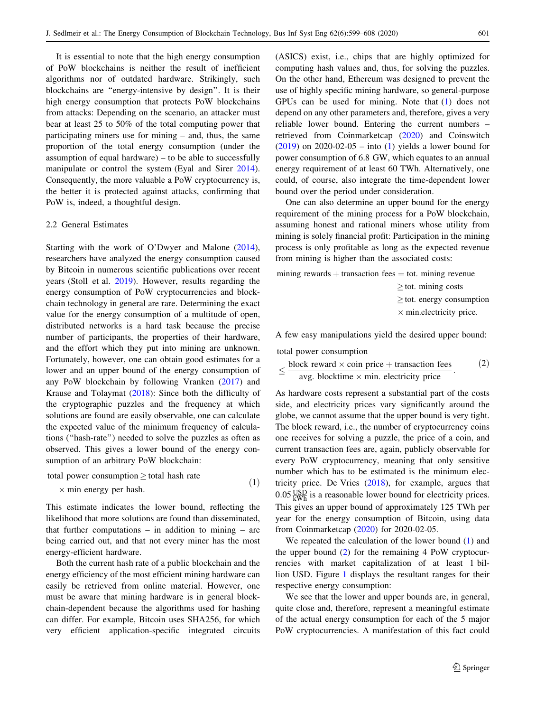<span id="page-2-0"></span>It is essential to note that the high energy consumption of PoW blockchains is neither the result of inefficient algorithms nor of outdated hardware. Strikingly, such blockchains are ''energy-intensive by design''. It is their high energy consumption that protects PoW blockchains from attacks: Depending on the scenario, an attacker must bear at least 25 to 50% of the total computing power that participating miners use for mining – and, thus, the same proportion of the total energy consumption (under the assumption of equal hardware) – to be able to successfully manipulate or control the system (Eyal and Sirer [2014](#page-8-0)). Consequently, the more valuable a PoW cryptocurrency is, the better it is protected against attacks, confirming that PoW is, indeed, a thoughtful design.

## 2.2 General Estimates

Starting with the work of O'Dwyer and Malone [\(2014](#page-9-0)), researchers have analyzed the energy consumption caused by Bitcoin in numerous scientific publications over recent years (Stoll et al. [2019\)](#page-9-0). However, results regarding the energy consumption of PoW cryptocurrencies and blockchain technology in general are rare. Determining the exact value for the energy consumption of a multitude of open, distributed networks is a hard task because the precise number of participants, the properties of their hardware, and the effort which they put into mining are unknown. Fortunately, however, one can obtain good estimates for a lower and an upper bound of the energy consumption of any PoW blockchain by following Vranken [\(2017](#page-9-0)) and Krause and Tolaymat ([2018\)](#page-9-0): Since both the difficulty of the cryptographic puzzles and the frequency at which solutions are found are easily observable, one can calculate the expected value of the minimum frequency of calculations (''hash-rate'') needed to solve the puzzles as often as observed. This gives a lower bound of the energy consumption of an arbitrary PoW blockchain:

total power consumption  $\ge$  total hash rate

 $\times$  min energy per hash. (1)

This estimate indicates the lower bound, reflecting the likelihood that more solutions are found than disseminated, that further computations  $-$  in addition to mining  $-$  are being carried out, and that not every miner has the most energy-efficient hardware.

Both the current hash rate of a public blockchain and the energy efficiency of the most efficient mining hardware can easily be retrieved from online material. However, one must be aware that mining hardware is in general blockchain-dependent because the algorithms used for hashing can differ. For example, Bitcoin uses SHA256, for which very efficient application-specific integrated circuits (ASICS) exist, i.e., chips that are highly optimized for computing hash values and, thus, for solving the puzzles. On the other hand, Ethereum was designed to prevent the use of highly specific mining hardware, so general-purpose GPUs can be used for mining. Note that (1) does not depend on any other parameters and, therefore, gives a very reliable lower bound. Entering the current numbers – retrieved from Coinmarketcap ([2020\)](#page-8-0) and Coinswitch  $(2019)$  $(2019)$  on 2020-02-05 – into (1) yields a lower bound for power consumption of 6.8 GW, which equates to an annual energy requirement of at least 60 TWh. Alternatively, one could, of course, also integrate the time-dependent lower bound over the period under consideration.

One can also determine an upper bound for the energy requirement of the mining process for a PoW blockchain, assuming honest and rational miners whose utility from mining is solely financial profit: Participation in the mining process is only profitable as long as the expected revenue from mining is higher than the associated costs:

mining rewards  $+$  transaction fees  $=$  tot. mining revenue

 $>$  tot. mining costs  $\geq$  tot. energy consumption  $\times$  min.electricity price.

A few easy manipulations yield the desired upper bound:

total power consumption

$$
\leq \frac{\text{block reward} \times \text{coin price} + \text{transaction fees}}{\text{avg. blocking} \times \text{min. electricity price}}.
$$
 (2)

As hardware costs represent a substantial part of the costs side, and electricity prices vary significantly around the globe, we cannot assume that the upper bound is very tight. The block reward, i.e., the number of cryptocurrency coins one receives for solving a puzzle, the price of a coin, and current transaction fees are, again, publicly observable for every PoW cryptocurrency, meaning that only sensitive number which has to be estimated is the minimum electricity price. De Vries [\(2018](#page-8-0)), for example, argues that  $0.05 \frac{\text{USD}}{\text{kWh}}$  is a reasonable lower bound for electricity prices. This gives an upper bound of approximately 125 TWh per year for the energy consumption of Bitcoin, using data from Coinmarketcap ([2020\)](#page-8-0) for 2020-02-05.

We repeated the calculation of the lower bound (1) and the upper bound  $(2)$  for the remaining 4 PoW cryptocurrencies with market capitalization of at least 1 billion USD. Figure [1](#page-3-0) displays the resultant ranges for their respective energy consumption:

We see that the lower and upper bounds are, in general, quite close and, therefore, represent a meaningful estimate of the actual energy consumption for each of the 5 major PoW cryptocurrencies. A manifestation of this fact could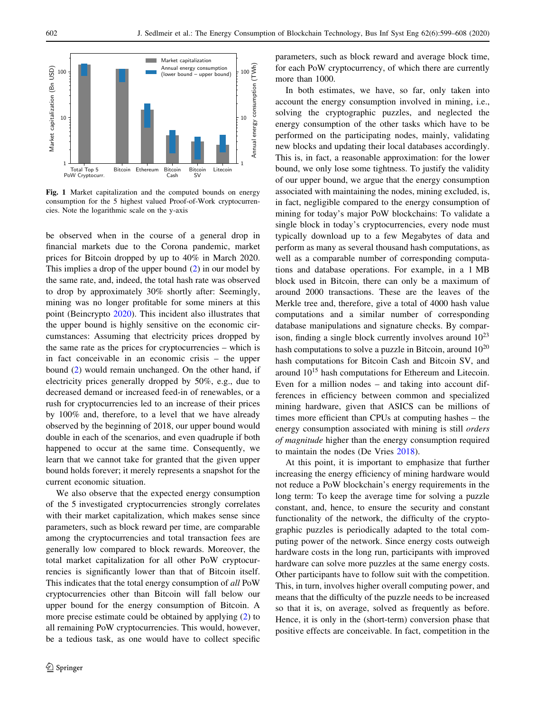<span id="page-3-0"></span>

Fig. 1 Market capitalization and the computed bounds on energy consumption for the 5 highest valued Proof-of-Work cryptocurrencies. Note the logarithmic scale on the y-axis

be observed when in the course of a general drop in financial markets due to the Corona pandemic, market prices for Bitcoin dropped by up to 40% in March 2020. This implies a drop of the upper bound [\(2](#page-2-0)) in our model by the same rate, and, indeed, the total hash rate was observed to drop by approximately 30% shortly after: Seemingly, mining was no longer profitable for some miners at this point (Beincrypto [2020](#page-8-0)). This incident also illustrates that the upper bound is highly sensitive on the economic circumstances: Assuming that electricity prices dropped by the same rate as the prices for cryptocurrencies – which is in fact conceivable in an economic crisis – the upper bound ([2\)](#page-2-0) would remain unchanged. On the other hand, if electricity prices generally dropped by 50%, e.g., due to decreased demand or increased feed-in of renewables, or a rush for cryptocurrencies led to an increase of their prices by 100% and, therefore, to a level that we have already observed by the beginning of 2018, our upper bound would double in each of the scenarios, and even quadruple if both happened to occur at the same time. Consequently, we learn that we cannot take for granted that the given upper bound holds forever; it merely represents a snapshot for the current economic situation.

We also observe that the expected energy consumption of the 5 investigated cryptocurrencies strongly correlates with their market capitalization, which makes sense since parameters, such as block reward per time, are comparable among the cryptocurrencies and total transaction fees are generally low compared to block rewards. Moreover, the total market capitalization for all other PoW cryptocurrencies is significantly lower than that of Bitcoin itself. This indicates that the total energy consumption of all PoW cryptocurrencies other than Bitcoin will fall below our upper bound for the energy consumption of Bitcoin. A more precise estimate could be obtained by applying [\(2](#page-2-0)) to all remaining PoW cryptocurrencies. This would, however, be a tedious task, as one would have to collect specific parameters, such as block reward and average block time, for each PoW cryptocurrency, of which there are currently more than 1000.

In both estimates, we have, so far, only taken into account the energy consumption involved in mining, i.e., solving the cryptographic puzzles, and neglected the energy consumption of the other tasks which have to be performed on the participating nodes, mainly, validating new blocks and updating their local databases accordingly. This is, in fact, a reasonable approximation: for the lower bound, we only lose some tightness. To justify the validity of our upper bound, we argue that the energy consumption associated with maintaining the nodes, mining excluded, is, in fact, negligible compared to the energy consumption of mining for today's major PoW blockchains: To validate a single block in today's cryptocurrencies, every node must typically download up to a few Megabytes of data and perform as many as several thousand hash computations, as well as a comparable number of corresponding computations and database operations. For example, in a 1 MB block used in Bitcoin, there can only be a maximum of around 2000 transactions. These are the leaves of the Merkle tree and, therefore, give a total of 4000 hash value computations and a similar number of corresponding database manipulations and signature checks. By comparison, finding a single block currently involves around  $10^{23}$ hash computations to solve a puzzle in Bitcoin, around  $10^{20}$ hash computations for Bitcoin Cash and Bitcoin SV, and around 10<sup>15</sup> hash computations for Ethereum and Litecoin. Even for a million nodes – and taking into account differences in efficiency between common and specialized mining hardware, given that ASICS can be millions of times more efficient than CPUs at computing hashes – the energy consumption associated with mining is still orders of magnitude higher than the energy consumption required to maintain the nodes (De Vries [2018](#page-8-0)).

At this point, it is important to emphasize that further increasing the energy efficiency of mining hardware would not reduce a PoW blockchain's energy requirements in the long term: To keep the average time for solving a puzzle constant, and, hence, to ensure the security and constant functionality of the network, the difficulty of the cryptographic puzzles is periodically adapted to the total computing power of the network. Since energy costs outweigh hardware costs in the long run, participants with improved hardware can solve more puzzles at the same energy costs. Other participants have to follow suit with the competition. This, in turn, involves higher overall computing power, and means that the difficulty of the puzzle needs to be increased so that it is, on average, solved as frequently as before. Hence, it is only in the (short-term) conversion phase that positive effects are conceivable. In fact, competition in the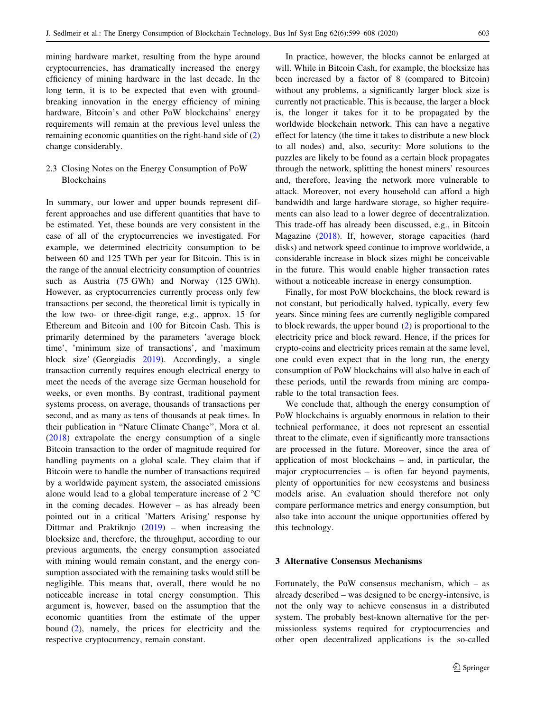<span id="page-4-0"></span>mining hardware market, resulting from the hype around cryptocurrencies, has dramatically increased the energy efficiency of mining hardware in the last decade. In the long term, it is to be expected that even with groundbreaking innovation in the energy efficiency of mining hardware, Bitcoin's and other PoW blockchains' energy requirements will remain at the previous level unless the remaining economic quantities on the right-hand side of ([2\)](#page-2-0) change considerably.

# 2.3 Closing Notes on the Energy Consumption of PoW **Blockchains**

In summary, our lower and upper bounds represent different approaches and use different quantities that have to be estimated. Yet, these bounds are very consistent in the case of all of the cryptocurrencies we investigated. For example, we determined electricity consumption to be between 60 and 125 TWh per year for Bitcoin. This is in the range of the annual electricity consumption of countries such as Austria (75 GWh) and Norway (125 GWh). However, as cryptocurrencies currently process only few transactions per second, the theoretical limit is typically in the low two- or three-digit range, e.g., approx. 15 for Ethereum and Bitcoin and 100 for Bitcoin Cash. This is primarily determined by the parameters 'average block time', 'minimum size of transactions', and 'maximum block size' (Georgiadis [2019\)](#page-9-0). Accordingly, a single transaction currently requires enough electrical energy to meet the needs of the average size German household for weeks, or even months. By contrast, traditional payment systems process, on average, thousands of transactions per second, and as many as tens of thousands at peak times. In their publication in ''Nature Climate Change'', Mora et al. [\(2018](#page-9-0)) extrapolate the energy consumption of a single Bitcoin transaction to the order of magnitude required for handling payments on a global scale. They claim that if Bitcoin were to handle the number of transactions required by a worldwide payment system, the associated emissions alone would lead to a global temperature increase of  $2 \text{ }^{\circ}C$ in the coming decades. However – as has already been pointed out in a critical 'Matters Arising' response by Dittmar and Praktiknjo  $(2019)$  $(2019)$  – when increasing the blocksize and, therefore, the throughput, according to our previous arguments, the energy consumption associated with mining would remain constant, and the energy consumption associated with the remaining tasks would still be negligible. This means that, overall, there would be no noticeable increase in total energy consumption. This argument is, however, based on the assumption that the economic quantities from the estimate of the upper bound ([2\)](#page-2-0), namely, the prices for electricity and the respective cryptocurrency, remain constant.

In practice, however, the blocks cannot be enlarged at will. While in Bitcoin Cash, for example, the blocksize has been increased by a factor of 8 (compared to Bitcoin) without any problems, a significantly larger block size is currently not practicable. This is because, the larger a block is, the longer it takes for it to be propagated by the worldwide blockchain network. This can have a negative effect for latency (the time it takes to distribute a new block to all nodes) and, also, security: More solutions to the puzzles are likely to be found as a certain block propagates through the network, splitting the honest miners' resources and, therefore, leaving the network more vulnerable to attack. Moreover, not every household can afford a high bandwidth and large hardware storage, so higher requirements can also lead to a lower degree of decentralization. This trade-off has already been discussed, e.g., in Bitcoin Magazine ([2018\)](#page-8-0). If, however, storage capacities (hard disks) and network speed continue to improve worldwide, a considerable increase in block sizes might be conceivable in the future. This would enable higher transaction rates without a noticeable increase in energy consumption.

Finally, for most PoW blockchains, the block reward is not constant, but periodically halved, typically, every few years. Since mining fees are currently negligible compared to block rewards, the upper bound ([2\)](#page-2-0) is proportional to the electricity price and block reward. Hence, if the prices for crypto-coins and electricity prices remain at the same level, one could even expect that in the long run, the energy consumption of PoW blockchains will also halve in each of these periods, until the rewards from mining are comparable to the total transaction fees.

We conclude that, although the energy consumption of PoW blockchains is arguably enormous in relation to their technical performance, it does not represent an essential threat to the climate, even if significantly more transactions are processed in the future. Moreover, since the area of application of most blockchains – and, in particular, the major cryptocurrencies – is often far beyond payments, plenty of opportunities for new ecosystems and business models arise. An evaluation should therefore not only compare performance metrics and energy consumption, but also take into account the unique opportunities offered by this technology.

## 3 Alternative Consensus Mechanisms

Fortunately, the PoW consensus mechanism, which – as already described – was designed to be energy-intensive, is not the only way to achieve consensus in a distributed system. The probably best-known alternative for the permissionless systems required for cryptocurrencies and other open decentralized applications is the so-called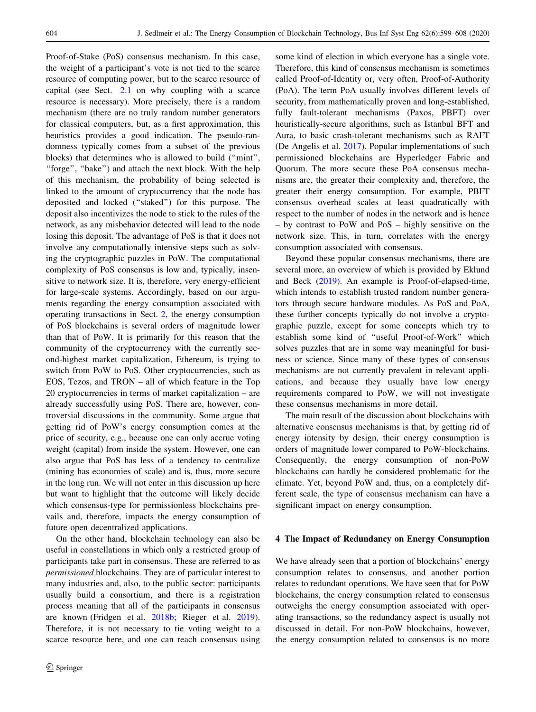<span id="page-5-0"></span>Proof-of-Stake (PoS) consensus mechanism. In this case, the weight of a participant's vote is not tied to the scarce resource of computing power, but to the scarce resource of capital (see Sect. [2.1](#page-1-0) on why coupling with a scarce resource is necessary). More precisely, there is a random mechanism (there are no truly random number generators for classical computers, but, as a first approximation, this heuristics provides a good indication. The pseudo-randomness typically comes from a subset of the previous blocks) that determines who is allowed to build (''mint'', "forge", "bake") and attach the next block. With the help of this mechanism, the probability of being selected is linked to the amount of cryptocurrency that the node has deposited and locked (''staked'') for this purpose. The deposit also incentivizes the node to stick to the rules of the network, as any misbehavior detected will lead to the node losing this deposit. The advantage of PoS is that it does not involve any computationally intensive steps such as solving the cryptographic puzzles in PoW. The computational complexity of PoS consensus is low and, typically, insensitive to network size. It is, therefore, very energy-efficient for large-scale systems. Accordingly, based on our arguments regarding the energy consumption associated with operating transactions in Sect. [2,](#page-1-0) the energy consumption of PoS blockchains is several orders of magnitude lower than that of PoW. It is primarily for this reason that the community of the cryptocurrency with the currently second-highest market capitalization, Ethereum, is trying to switch from PoW to PoS. Other cryptocurrencies, such as EOS, Tezos, and TRON – all of which feature in the Top 20 cryptocurrencies in terms of market capitalization – are already successfully using PoS. There are, however, controversial discussions in the community. Some argue that getting rid of PoW's energy consumption comes at the price of security, e.g., because one can only accrue voting weight (capital) from inside the system. However, one can also argue that PoS has less of a tendency to centralize (mining has economies of scale) and is, thus, more secure in the long run. We will not enter in this discussion up here but want to highlight that the outcome will likely decide which consensus-type for permissionless blockchains prevails and, therefore, impacts the energy consumption of future open decentralized applications.

On the other hand, blockchain technology can also be useful in constellations in which only a restricted group of participants take part in consensus. These are referred to as permissioned blockchains. They are of particular interest to many industries and, also, to the public sector: participants usually build a consortium, and there is a registration process meaning that all of the participants in consensus are known (Fridgen et al. [2018b](#page-9-0); Rieger et al. [2019](#page-9-0)). Therefore, it is not necessary to tie voting weight to a scarce resource here, and one can reach consensus using some kind of election in which everyone has a single vote. Therefore, this kind of consensus mechanism is sometimes called Proof-of-Identity or, very often, Proof-of-Authority (PoA). The term PoA usually involves different levels of security, from mathematically proven and long-established, fully fault-tolerant mechanisms (Paxos, PBFT) over heuristically-secure algorithms, such as Istanbul BFT and Aura, to basic crash-tolerant mechanisms such as RAFT (De Angelis et al. [2017\)](#page-8-0). Popular implementations of such permissioned blockchains are Hyperledger Fabric and Quorum. The more secure these PoA consensus mechanisms are, the greater their complexity and, therefore, the greater their energy consumption. For example, PBFT consensus overhead scales at least quadratically with respect to the number of nodes in the network and is hence – by contrast to PoW and PoS – highly sensitive on the network size. This, in turn, correlates with the energy consumption associated with consensus.

Beyond these popular consensus mechanisms, there are several more, an overview of which is provided by Eklund and Beck ([2019\)](#page-8-0). An example is Proof-of-elapsed-time, which intends to establish trusted random number generators through secure hardware modules. As PoS and PoA, these further concepts typically do not involve a cryptographic puzzle, except for some concepts which try to establish some kind of ''useful Proof-of-Work'' which solves puzzles that are in some way meaningful for business or science. Since many of these types of consensus mechanisms are not currently prevalent in relevant applications, and because they usually have low energy requirements compared to PoW, we will not investigate these consensus mechanisms in more detail.

The main result of the discussion about blockchains with alternative consensus mechanisms is that, by getting rid of energy intensity by design, their energy consumption is orders of magnitude lower compared to PoW-blockchains. Consequently, the energy consumption of non-PoW blockchains can hardly be considered problematic for the climate. Yet, beyond PoW and, thus, on a completely different scale, the type of consensus mechanism can have a significant impact on energy consumption.

# 4 The Impact of Redundancy on Energy Consumption

We have already seen that a portion of blockchains' energy consumption relates to consensus, and another portion relates to redundant operations. We have seen that for PoW blockchains, the energy consumption related to consensus outweighs the energy consumption associated with operating transactions, so the redundancy aspect is usually not discussed in detail. For non-PoW blockchains, however, the energy consumption related to consensus is no more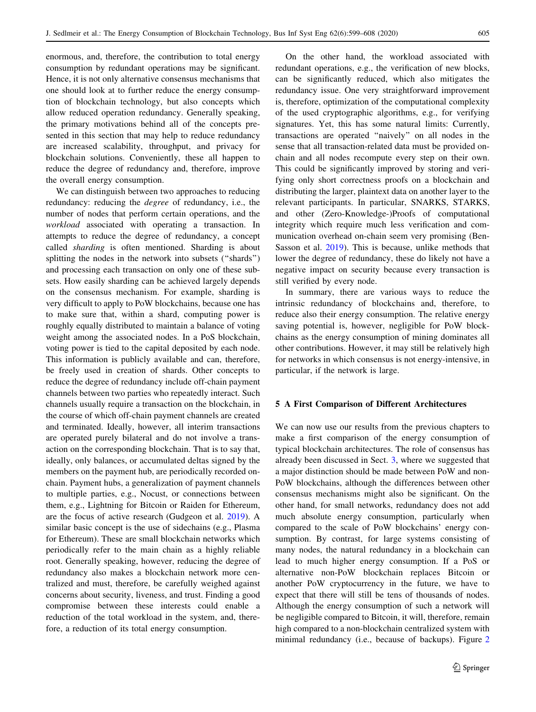<span id="page-6-0"></span>enormous, and, therefore, the contribution to total energy consumption by redundant operations may be significant. Hence, it is not only alternative consensus mechanisms that one should look at to further reduce the energy consumption of blockchain technology, but also concepts which allow reduced operation redundancy. Generally speaking, the primary motivations behind all of the concepts presented in this section that may help to reduce redundancy are increased scalability, throughput, and privacy for blockchain solutions. Conveniently, these all happen to reduce the degree of redundancy and, therefore, improve the overall energy consumption.

We can distinguish between two approaches to reducing redundancy: reducing the degree of redundancy, i.e., the number of nodes that perform certain operations, and the workload associated with operating a transaction. In attempts to reduce the degree of redundancy, a concept called sharding is often mentioned. Sharding is about splitting the nodes in the network into subsets (''shards'') and processing each transaction on only one of these subsets. How easily sharding can be achieved largely depends on the consensus mechanism. For example, sharding is very difficult to apply to PoW blockchains, because one has to make sure that, within a shard, computing power is roughly equally distributed to maintain a balance of voting weight among the associated nodes. In a PoS blockchain, voting power is tied to the capital deposited by each node. This information is publicly available and can, therefore, be freely used in creation of shards. Other concepts to reduce the degree of redundancy include off-chain payment channels between two parties who repeatedly interact. Such channels usually require a transaction on the blockchain, in the course of which off-chain payment channels are created and terminated. Ideally, however, all interim transactions are operated purely bilateral and do not involve a transaction on the corresponding blockchain. That is to say that, ideally, only balances, or accumulated deltas signed by the members on the payment hub, are periodically recorded onchain. Payment hubs, a generalization of payment channels to multiple parties, e.g., Nocust, or connections between them, e.g., Lightning for Bitcoin or Raiden for Ethereum, are the focus of active research (Gudgeon et al. [2019](#page-9-0)). A similar basic concept is the use of sidechains (e.g., Plasma for Ethereum). These are small blockchain networks which periodically refer to the main chain as a highly reliable root. Generally speaking, however, reducing the degree of redundancy also makes a blockchain network more centralized and must, therefore, be carefully weighed against concerns about security, liveness, and trust. Finding a good compromise between these interests could enable a reduction of the total workload in the system, and, therefore, a reduction of its total energy consumption.

On the other hand, the workload associated with redundant operations, e.g., the verification of new blocks, can be significantly reduced, which also mitigates the redundancy issue. One very straightforward improvement is, therefore, optimization of the computational complexity of the used cryptographic algorithms, e.g., for verifying signatures. Yet, this has some natural limits: Currently, transactions are operated ''naively'' on all nodes in the sense that all transaction-related data must be provided onchain and all nodes recompute every step on their own. This could be significantly improved by storing and verifying only short correctness proofs on a blockchain and distributing the larger, plaintext data on another layer to the relevant participants. In particular, SNARKS, STARKS, and other (Zero-Knowledge-)Proofs of computational integrity which require much less verification and communication overhead on-chain seem very promising (Ben-Sasson et al. [2019\)](#page-8-0). This is because, unlike methods that lower the degree of redundancy, these do likely not have a negative impact on security because every transaction is still verified by every node.

In summary, there are various ways to reduce the intrinsic redundancy of blockchains and, therefore, to reduce also their energy consumption. The relative energy saving potential is, however, negligible for PoW blockchains as the energy consumption of mining dominates all other contributions. However, it may still be relatively high for networks in which consensus is not energy-intensive, in particular, if the network is large.

# 5 A First Comparison of Different Architectures

We can now use our results from the previous chapters to make a first comparison of the energy consumption of typical blockchain architectures. The role of consensus has already been discussed in Sect. [3,](#page-4-0) where we suggested that a major distinction should be made between PoW and non-PoW blockchains, although the differences between other consensus mechanisms might also be significant. On the other hand, for small networks, redundancy does not add much absolute energy consumption, particularly when compared to the scale of PoW blockchains' energy consumption. By contrast, for large systems consisting of many nodes, the natural redundancy in a blockchain can lead to much higher energy consumption. If a PoS or alternative non-PoW blockchain replaces Bitcoin or another PoW cryptocurrency in the future, we have to expect that there will still be tens of thousands of nodes. Although the energy consumption of such a network will be negligible compared to Bitcoin, it will, therefore, remain high compared to a non-blockchain centralized system with minimal redundancy (i.e., because of backups). Figure [2](#page-7-0)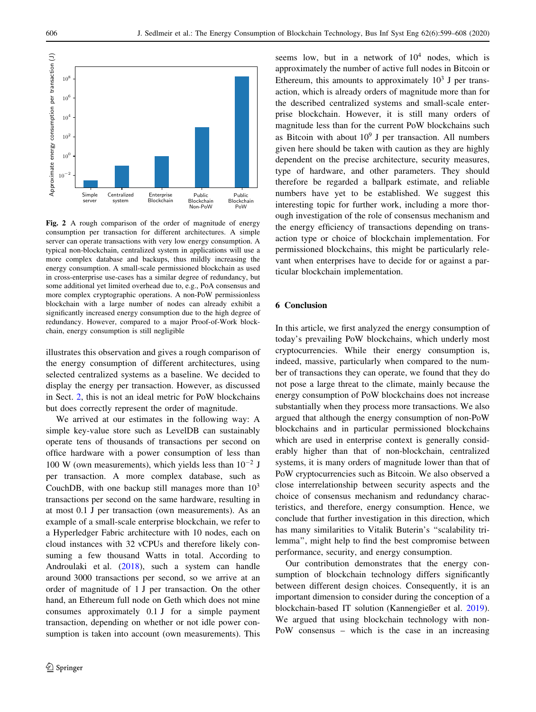<span id="page-7-0"></span>

Fig. 2 A rough comparison of the order of magnitude of energy consumption per transaction for different architectures. A simple server can operate transactions with very low energy consumption. A typical non-blockchain, centralized system in applications will use a more complex database and backups, thus mildly increasing the energy consumption. A small-scale permissioned blockchain as used in cross-enterprise use-cases has a similar degree of redundancy, but some additional yet limited overhead due to, e.g., PoA consensus and more complex cryptographic operations. A non-PoW permissionless blockchain with a large number of nodes can already exhibit a significantly increased energy consumption due to the high degree of redundancy. However, compared to a major Proof-of-Work blockchain, energy consumption is still negligible

illustrates this observation and gives a rough comparison of the energy consumption of different architectures, using selected centralized systems as a baseline. We decided to display the energy per transaction. However, as discussed in Sect. [2](#page-1-0), this is not an ideal metric for PoW blockchains but does correctly represent the order of magnitude.

We arrived at our estimates in the following way: A simple key-value store such as LevelDB can sustainably operate tens of thousands of transactions per second on office hardware with a power consumption of less than 100 W (own measurements), which yields less than  $10^{-2}$  J per transaction. A more complex database, such as CouchDB, with one backup still manages more than  $10<sup>3</sup>$ transactions per second on the same hardware, resulting in at most 0.1 J per transaction (own measurements). As an example of a small-scale enterprise blockchain, we refer to a Hyperledger Fabric architecture with 10 nodes, each on cloud instances with 32 vCPUs and therefore likely consuming a few thousand Watts in total. According to Androulaki et al. [\(2018](#page-8-0)), such a system can handle around 3000 transactions per second, so we arrive at an order of magnitude of 1 J per transaction. On the other hand, an Ethereum full node on Geth which does not mine consumes approximately 0.1 J for a simple payment transaction, depending on whether or not idle power consumption is taken into account (own measurements). This seems low, but in a network of  $10<sup>4</sup>$  nodes, which is approximately the number of active full nodes in Bitcoin or Ethereum, this amounts to approximately  $10<sup>3</sup>$  J per transaction, which is already orders of magnitude more than for the described centralized systems and small-scale enterprise blockchain. However, it is still many orders of magnitude less than for the current PoW blockchains such as Bitcoin with about  $10^9$  J per transaction. All numbers given here should be taken with caution as they are highly dependent on the precise architecture, security measures, type of hardware, and other parameters. They should therefore be regarded a ballpark estimate, and reliable numbers have yet to be established. We suggest this interesting topic for further work, including a more thorough investigation of the role of consensus mechanism and the energy efficiency of transactions depending on transaction type or choice of blockchain implementation. For permissioned blockchains, this might be particularly relevant when enterprises have to decide for or against a particular blockchain implementation.

### 6 Conclusion

In this article, we first analyzed the energy consumption of today's prevailing PoW blockchains, which underly most cryptocurrencies. While their energy consumption is, indeed, massive, particularly when compared to the number of transactions they can operate, we found that they do not pose a large threat to the climate, mainly because the energy consumption of PoW blockchains does not increase substantially when they process more transactions. We also argued that although the energy consumption of non-PoW blockchains and in particular permissioned blockchains which are used in enterprise context is generally considerably higher than that of non-blockchain, centralized systems, it is many orders of magnitude lower than that of PoW cryptocurrencies such as Bitcoin. We also observed a close interrelationship between security aspects and the choice of consensus mechanism and redundancy characteristics, and therefore, energy consumption. Hence, we conclude that further investigation in this direction, which has many similarities to Vitalik Buterin's ''scalability trilemma'', might help to find the best compromise between performance, security, and energy consumption.

Our contribution demonstrates that the energy consumption of blockchain technology differs significantly between different design choices. Consequently, it is an important dimension to consider during the conception of a blockchain-based IT solution (Kannengießer et al. [2019](#page-9-0)). We argued that using blockchain technology with non-PoW consensus – which is the case in an increasing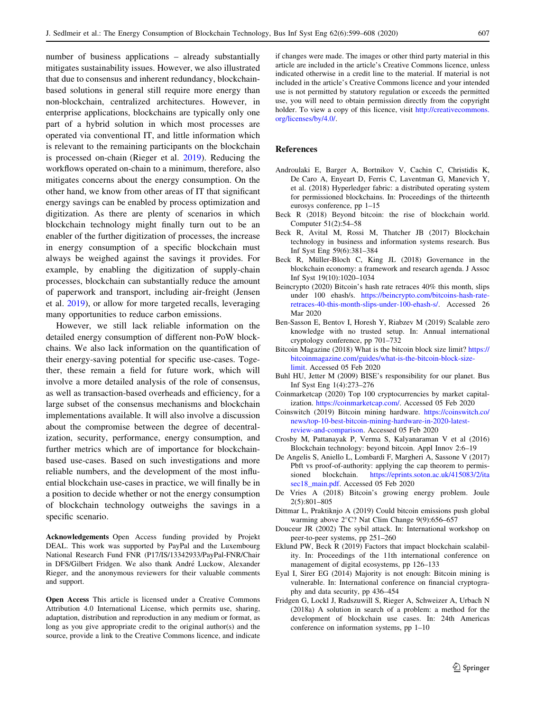<span id="page-8-0"></span>number of business applications – already substantially mitigates sustainability issues. However, we also illustrated that due to consensus and inherent redundancy, blockchainbased solutions in general still require more energy than non-blockchain, centralized architectures. However, in enterprise applications, blockchains are typically only one part of a hybrid solution in which most processes are operated via conventional IT, and little information which is relevant to the remaining participants on the blockchain is processed on-chain (Rieger et al. [2019\)](#page-9-0). Reducing the workflows operated on-chain to a minimum, therefore, also mitigates concerns about the energy consumption. On the other hand, we know from other areas of IT that significant energy savings can be enabled by process optimization and digitization. As there are plenty of scenarios in which blockchain technology might finally turn out to be an enabler of the further digitization of processes, the increase in energy consumption of a specific blockchain must always be weighed against the savings it provides. For example, by enabling the digitization of supply-chain processes, blockchain can substantially reduce the amount of paperwork and transport, including air-freight (Jensen et al. [2019\)](#page-9-0), or allow for more targeted recalls, leveraging many opportunities to reduce carbon emissions.

However, we still lack reliable information on the detailed energy consumption of different non-PoW blockchains. We also lack information on the quantification of their energy-saving potential for specific use-cases. Together, these remain a field for future work, which will involve a more detailed analysis of the role of consensus, as well as transaction-based overheads and efficiency, for a large subset of the consensus mechanisms and blockchain implementations available. It will also involve a discussion about the compromise between the degree of decentralization, security, performance, energy consumption, and further metrics which are of importance for blockchainbased use-cases. Based on such investigations and more reliable numbers, and the development of the most influential blockchain use-cases in practice, we will finally be in a position to decide whether or not the energy consumption of blockchain technology outweighs the savings in a specific scenario.

Acknowledgements Open Access funding provided by Projekt DEAL. This work was supported by PayPal and the Luxembourg National Research Fund FNR (P17/IS/13342933/PayPal-FNR/Chair in DFS/Gilbert Fridgen. We also thank André Luckow, Alexander Rieger, and the anonymous reviewers for their valuable comments and support.

Open Access This article is licensed under a Creative Commons Attribution 4.0 International License, which permits use, sharing, adaptation, distribution and reproduction in any medium or format, as long as you give appropriate credit to the original author(s) and the source, provide a link to the Creative Commons licence, and indicate if changes were made. The images or other third party material in this article are included in the article's Creative Commons licence, unless indicated otherwise in a credit line to the material. If material is not included in the article's Creative Commons licence and your intended use is not permitted by statutory regulation or exceeds the permitted use, you will need to obtain permission directly from the copyright holder. To view a copy of this licence, visit [http://creativecommons.](http://creativecommons.org/licenses/by/4.0/) [org/licenses/by/4.0/.](http://creativecommons.org/licenses/by/4.0/)

### References

- Androulaki E, Barger A, Bortnikov V, Cachin C, Christidis K, De Caro A, Enyeart D, Ferris C, Laventman G, Manevich Y, et al. (2018) Hyperledger fabric: a distributed operating system for permissioned blockchains. In: Proceedings of the thirteenth eurosys conference, pp 1–15
- Beck R (2018) Beyond bitcoin: the rise of blockchain world. Computer 51(2):54–58
- Beck R, Avital M, Rossi M, Thatcher JB (2017) Blockchain technology in business and information systems research. Bus Inf Syst Eng 59(6):381–384
- Beck R, Müller-Bloch C, King JL (2018) Governance in the blockchain economy: a framework and research agenda. J Assoc Inf Syst 19(10):1020–1034
- Beincrypto (2020) Bitcoin's hash rate retraces 40% this month, slips under 100 ehash/s. [https://beincrypto.com/bitcoins-hash-rate](https://beincrypto.com/bitcoins-hash-rate-retraces-40-this-month-slips-under-100-ehash-s/)[retraces-40-this-month-slips-under-100-ehash-s/](https://beincrypto.com/bitcoins-hash-rate-retraces-40-this-month-slips-under-100-ehash-s/). Accessed 26 Mar 2020
- Ben-Sasson E, Bentov I, Horesh Y, Riabzev M (2019) Scalable zero knowledge with no trusted setup. In: Annual international cryptology conference, pp 701–732
- Bitcoin Magazine (2018) What is the bitcoin block size limit? [https://](https://bitcoinmagazine.com/guides/what-is-the-bitcoin-block-size-limit) [bitcoinmagazine.com/guides/what-is-the-bitcoin-block-size](https://bitcoinmagazine.com/guides/what-is-the-bitcoin-block-size-limit)[limit](https://bitcoinmagazine.com/guides/what-is-the-bitcoin-block-size-limit). Accessed 05 Feb 2020
- Buhl HU, Jetter M (2009) BISE's responsibility for our planet. Bus Inf Syst Eng 1(4):273–276
- Coinmarketcap (2020) Top 100 cryptocurrencies by market capitalization. <https://coinmarketcap.com/>. Accessed 05 Feb 2020
- Coinswitch (2019) Bitcoin mining hardware. [https://coinswitch.co/](https://coinswitch.co/news/top-10-best-bitcoin-mining-hardware-in-2020-latest-review-and-comparison) [news/top-10-best-bitcoin-mining-hardware-in-2020-latest](https://coinswitch.co/news/top-10-best-bitcoin-mining-hardware-in-2020-latest-review-and-comparison)[review-and-comparison.](https://coinswitch.co/news/top-10-best-bitcoin-mining-hardware-in-2020-latest-review-and-comparison) Accessed 05 Feb 2020
- Crosby M, Pattanayak P, Verma S, Kalyanaraman V et al (2016) Blockchain technology: beyond bitcoin. Appl Innov 2:6–19
- De Angelis S, Aniello L, Lombardi F, Margheri A, Sassone V (2017) Pbft vs proof-of-authority: applying the cap theorem to permissioned blockchain. [https://eprints.soton.ac.uk/415083/2/ita](https://eprints.soton.ac.uk/415083/2/itasec18_main.pdf) [sec18\\_main.pdf](https://eprints.soton.ac.uk/415083/2/itasec18_main.pdf). Accessed 05 Feb 2020
- De Vries A (2018) Bitcoin's growing energy problem. Joule 2(5):801–805
- Dittmar L, Praktiknjo A (2019) Could bitcoin emissions push global warming above  $2^{\circ}$ C? Nat Clim Change 9(9):656–657
- Douceur JR (2002) The sybil attack. In: International workshop on peer-to-peer systems, pp 251–260
- Eklund PW, Beck R (2019) Factors that impact blockchain scalability. In: Proceedings of the 11th international conference on management of digital ecosystems, pp 126–133
- Eyal I, Sirer EG (2014) Majority is not enough: Bitcoin mining is vulnerable. In: International conference on financial cryptography and data security, pp 436–454
- Fridgen G, Lockl J, Radszuwill S, Rieger A, Schweizer A, Urbach N (2018a) A solution in search of a problem: a method for the development of blockchain use cases. In: 24th Americas conference on information systems, pp 1–10